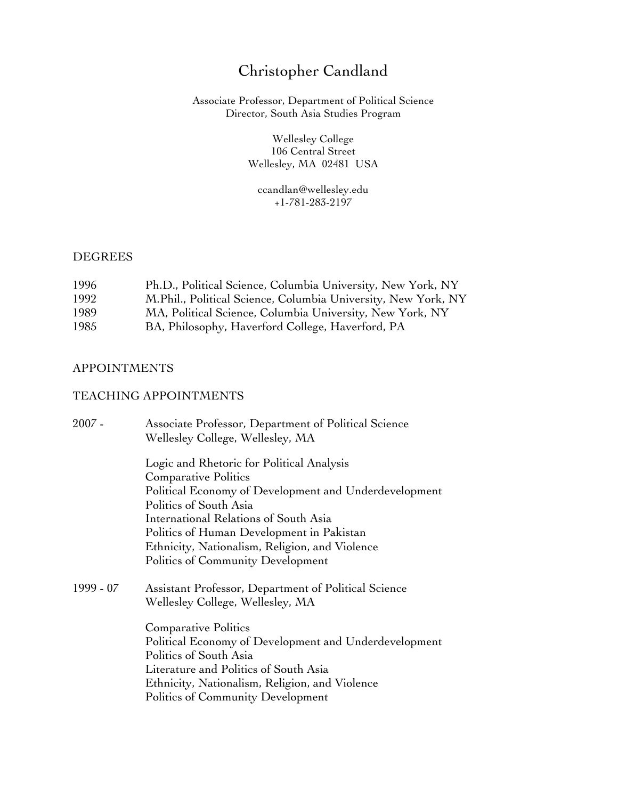# Christopher Candland

Associate Professor, Department of Political Science Director, South Asia Studies Program

> Wellesley College 106 Central Street Wellesley, MA 02481 USA

ccandlan@wellesley.edu +1-781-283-2197

## **DEGREES**

| 1996 | Ph.D., Political Science, Columbia University, New York, NY   |
|------|---------------------------------------------------------------|
| 1992 | M.Phil., Political Science, Columbia University, New York, NY |
| 1989 | MA, Political Science, Columbia University, New York, NY      |
| 1985 | BA, Philosophy, Haverford College, Haverford, PA              |

# APPOINTMENTS

# TEACHING APPOINTMENTS

| $2007 -$  | Associate Professor, Department of Political Science<br>Wellesley College, Wellesley, MA |
|-----------|------------------------------------------------------------------------------------------|
|           | Logic and Rhetoric for Political Analysis                                                |
|           |                                                                                          |
|           | Political Economy of Development and Underdevelopment                                    |
|           | Politics of South Asia                                                                   |
|           | International Relations of South Asia                                                    |
|           | Politics of Human Development in Pakistan                                                |
|           | Ethnicity, Nationalism, Religion, and Violence                                           |
|           | Politics of Community Development                                                        |
| 1999 - 07 | Assistant Professor, Department of Political Science                                     |
|           |                                                                                          |
|           | <b>Comparative Politics</b>                                                              |
|           | Political Economy of Development and Underdevelopment                                    |
|           | Politics of South Asia                                                                   |
|           | Literature and Politics of South Asia                                                    |
|           | Ethnicity, Nationalism, Religion, and Violence                                           |
|           | Politics of Community Development                                                        |
|           | <b>Comparative Politics</b><br>Wellesley College, Wellesley, MA                          |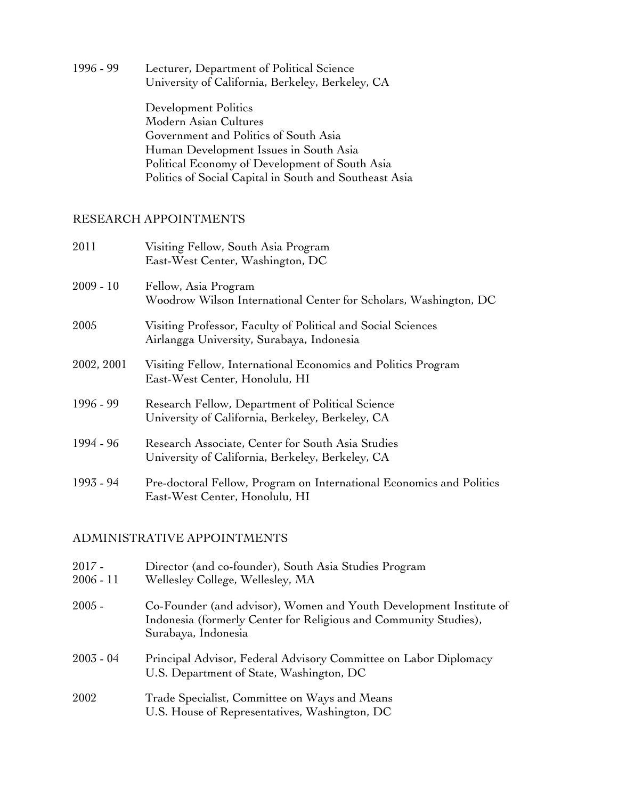1996 - 99 Lecturer, Department of Political Science University of California, Berkeley, Berkeley, CA Development Politics Modern Asian Cultures Government and Politics of South Asia Human Development Issues in South Asia Political Economy of Development of South Asia Politics of Social Capital in South and Southeast Asia

# RESEARCH APPOINTMENTS

| 2011        | Visiting Fellow, South Asia Program<br>East-West Center, Washington, DC                                   |
|-------------|-----------------------------------------------------------------------------------------------------------|
| $2009 - 10$ | Fellow, Asia Program<br>Woodrow Wilson International Center for Scholars, Washington, DC                  |
| 2005        | Visiting Professor, Faculty of Political and Social Sciences<br>Airlangga University, Surabaya, Indonesia |
| 2002, 2001  | Visiting Fellow, International Economics and Politics Program<br>East-West Center, Honolulu, HI           |
| 1996 - 99   | Research Fellow, Department of Political Science<br>University of California, Berkeley, Berkeley, CA      |
| 1994 - 96   | Research Associate, Center for South Asia Studies<br>University of California, Berkeley, Berkeley, CA     |
| 1993 - 94   | Pre-doctoral Fellow, Program on International Economics and Politics<br>East-West Center, Honolulu, HI    |

# ADMINISTRATIVE APPOINTMENTS

| $2017 -$<br>$2006 - 11$ | Director (and co-founder), South Asia Studies Program<br>Wellesley College, Wellesley, MA                                                                     |
|-------------------------|---------------------------------------------------------------------------------------------------------------------------------------------------------------|
| $2005 -$                | Co-Founder (and advisor), Women and Youth Development Institute of<br>Indonesia (formerly Center for Religious and Community Studies),<br>Surabaya, Indonesia |
| $2003 - 04$             | Principal Advisor, Federal Advisory Committee on Labor Diplomacy<br>U.S. Department of State, Washington, DC                                                  |
| 2002                    | Trade Specialist, Committee on Ways and Means<br>U.S. House of Representatives, Washington, DC                                                                |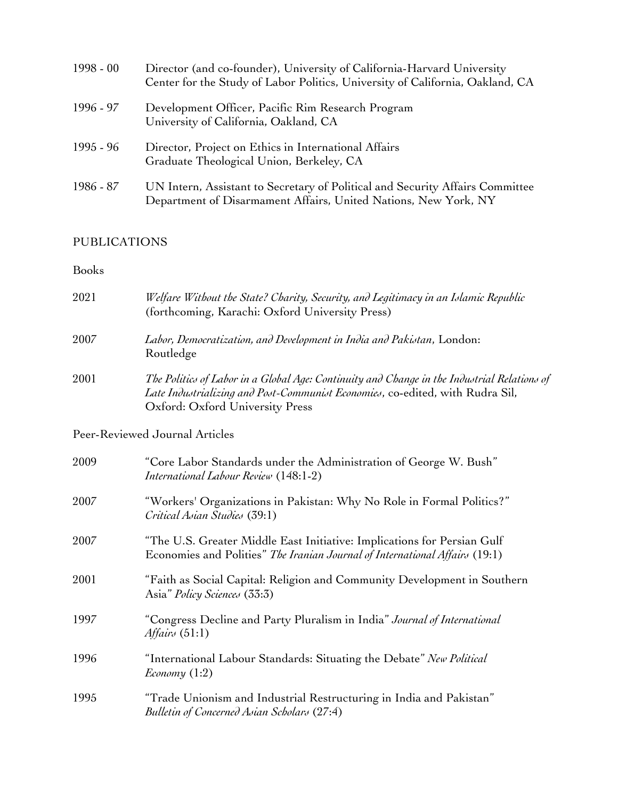| $1998 - 00$ | Director (and co-founder), University of California-Harvard University<br>Center for the Study of Labor Politics, University of California, Oakland, CA |
|-------------|---------------------------------------------------------------------------------------------------------------------------------------------------------|
| 1996 - 97   | Development Officer, Pacific Rim Research Program<br>University of California, Oakland, CA                                                              |
| 1995 - 96   | Director, Project on Ethics in International Affairs<br>Graduate Theological Union, Berkeley, CA                                                        |
| 1986 - 87   | UN Intern, Assistant to Secretary of Political and Security Affairs Committee<br>Department of Disarmament Affairs, United Nations, New York, NY        |

# PUBLICATIONS

# Books

| 2021 | Welfare Without the State? Charity, Security, and Legitimacy in an Islamic Republic<br>(forthcoming, Karachi: Oxford University Press)                                                                          |
|------|-----------------------------------------------------------------------------------------------------------------------------------------------------------------------------------------------------------------|
| 2007 | Labor, Democratization, and Development in India and Pakistan, London:<br>Routledge                                                                                                                             |
| 2001 | The Politics of Labor in a Global Age: Continuity and Change in the Industrial Relations of<br>Late Industrializing and Post-Communist Economies, co-edited, with Rudra Sil,<br>Oxford: Oxford University Press |
|      | Peer-Reviewed Journal Articles                                                                                                                                                                                  |
| 2009 | "Core Labor Standards under the Administration of George W. Bush"<br>International Labour Review (148:1-2)                                                                                                      |
| 2007 | "Workers' Organizations in Pakistan: Why No Role in Formal Politics?"<br>Critical Asian Studies (39:1)                                                                                                          |
| 2007 | "The U.S. Greater Middle East Initiative: Implications for Persian Gulf<br>Economies and Polities" The Iranian Journal of International Affairs (19:1)                                                          |
| 2001 | "Faith as Social Capital: Religion and Community Development in Southern<br>Asia" Policy Sciences (33:3)                                                                                                        |
| 1997 | "Congress Decline and Party Pluralism in India" Journal of International<br>Affairs $(51:1)$                                                                                                                    |
| 1996 | "International Labour Standards: Situating the Debate" New Political<br>Economy $(1:2)$                                                                                                                         |
| 1995 | "Trade Unionism and Industrial Restructuring in India and Pakistan"<br>Bulletin of Concerned Asian Scholars (27:4)                                                                                              |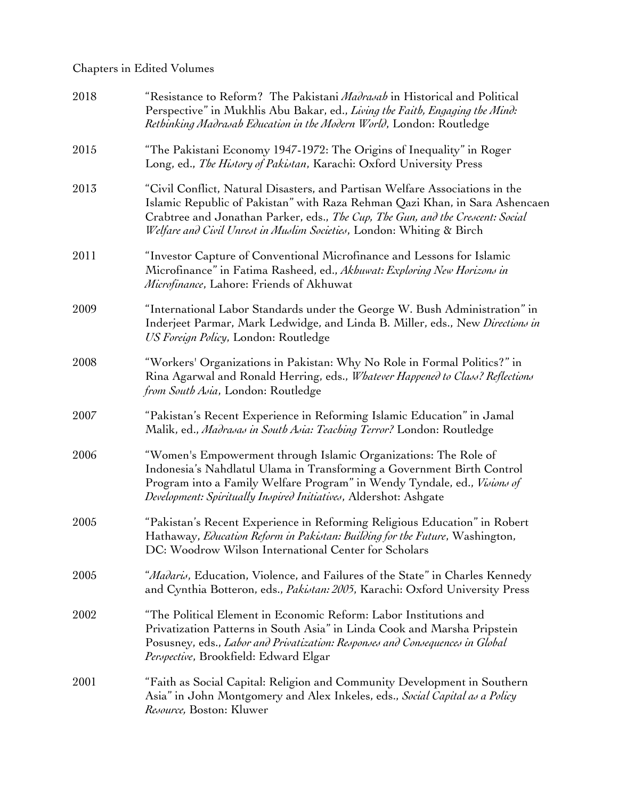# Chapters in Edited Volumes

| 2018 | "Resistance to Reform? The Pakistani Madrasah in Historical and Political<br>Perspective" in Mukhlis Abu Bakar, ed., Living the Faith, Engaging the Mind:<br>Rethinking Madrasah Education in the Modern World, London: Routledge                                                                                      |
|------|------------------------------------------------------------------------------------------------------------------------------------------------------------------------------------------------------------------------------------------------------------------------------------------------------------------------|
| 2015 | "The Pakistani Economy 1947-1972: The Origins of Inequality" in Roger<br>Long, ed., The History of Pakistan, Karachi: Oxford University Press                                                                                                                                                                          |
| 2013 | "Civil Conflict, Natural Disasters, and Partisan Welfare Associations in the<br>Islamic Republic of Pakistan" with Raza Rehman Qazi Khan, in Sara Ashencaen<br>Crabtree and Jonathan Parker, eds., The Cup, The Gun, and the Crescent: Social<br>Welfare and Civil Unrest in Muslim Societies, London: Whiting & Birch |
| 2011 | "Investor Capture of Conventional Microfinance and Lessons for Islamic<br>Microfinance" in Fatima Rasheed, ed., Akhuwat: Exploring New Horizons in<br><i>Microfinance</i> , Lahore: Friends of Akhuwat                                                                                                                 |
| 2009 | "International Labor Standards under the George W. Bush Administration" in<br>Inderjeet Parmar, Mark Ledwidge, and Linda B. Miller, eds., New Directions in<br>US Foreign Policy, London: Routledge                                                                                                                    |
| 2008 | "Workers' Organizations in Pakistan: Why No Role in Formal Politics?" in<br>Rina Agarwal and Ronald Herring, eds., Whatever Happened to Class? Reflections<br>from South Asia, London: Routledge                                                                                                                       |
| 2007 | "Pakistan's Recent Experience in Reforming Islamic Education" in Jamal<br>Malik, ed., Madrasas in South Asia: Teaching Terror? London: Routledge                                                                                                                                                                       |
| 2006 | "Women's Empowerment through Islamic Organizations: The Role of<br>Indonesia's Nahdlatul Ulama in Transforming a Government Birth Control<br>Program into a Family Welfare Program" in Wendy Tyndale, ed., Visions of<br>Development: Spiritually Inspired Initiatives, Aldershot: Ashgate                             |
| 2005 | "Pakistan's Recent Experience in Reforming Religious Education" in Robert<br>Hathaway, Education Reform in Pakistan: Building for the Future, Washington,<br>DC: Woodrow Wilson International Center for Scholars                                                                                                      |
| 2005 | <i>"Madaris</i> , Education, Violence, and Failures of the State" in Charles Kennedy<br>and Cynthia Botteron, eds., Pakistan: 2005, Karachi: Oxford University Press                                                                                                                                                   |
| 2002 | "The Political Element in Economic Reform: Labor Institutions and<br>Privatization Patterns in South Asia" in Linda Cook and Marsha Pripstein<br>Posusney, eds., Labor and Privatization: Responses and Consequences in Global<br>Perspective, Brookfield: Edward Elgar                                                |
| 2001 | "Faith as Social Capital: Religion and Community Development in Southern<br>Asia" in John Montgomery and Alex Inkeles, eds., Social Capital as a Policy<br>Resource, Boston: Kluwer                                                                                                                                    |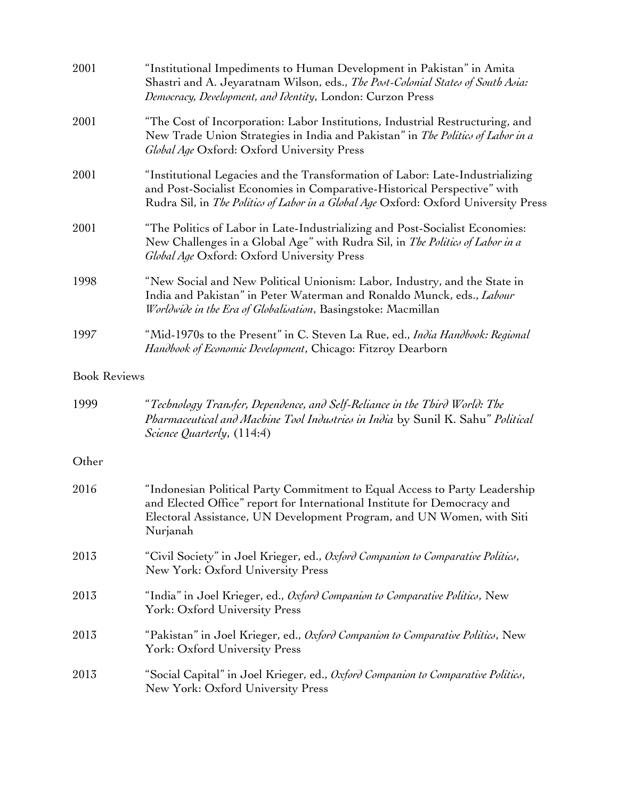| 2001                | "Institutional Impediments to Human Development in Pakistan" in Amita<br>Shastri and A. Jeyaratnam Wilson, eds., The Post-Colonial States of South Asia:<br>Democracy, Development, and Identity, London: Curzon Press                           |
|---------------------|--------------------------------------------------------------------------------------------------------------------------------------------------------------------------------------------------------------------------------------------------|
| 2001                | "The Cost of Incorporation: Labor Institutions, Industrial Restructuring, and<br>New Trade Union Strategies in India and Pakistan" in The Politics of Labor in a<br>Global Age Oxford: Oxford University Press                                   |
| 2001                | "Institutional Legacies and the Transformation of Labor: Late-Industrializing<br>and Post-Socialist Economies in Comparative-Historical Perspective" with<br>Rudra Sil, in The Politics of Labor in a Global Age Oxford: Oxford University Press |
| 2001                | "The Politics of Labor in Late-Industrializing and Post-Socialist Economies:<br>New Challenges in a Global Age" with Rudra Sil, in The Politics of Labor in a<br>Global Age Oxford: Oxford University Press                                      |
| 1998                | "New Social and New Political Unionism: Labor, Industry, and the State in<br>India and Pakistan" in Peter Waterman and Ronaldo Munck, eds., Labour<br>Worldwide in the Era of Globalisation, Basingstoke: Macmillan                              |
| 1997                | "Mid-1970s to the Present" in C. Steven La Rue, ed., India Handbook: Regional<br>Handbook of Economic Development, Chicago: Fitzroy Dearborn                                                                                                     |
| <b>Book Reviews</b> |                                                                                                                                                                                                                                                  |
| 1999                | "Technology Transfer, Dependence, and Self-Reliance in the Third World: The<br>Pharmaceutical and Machine Tool Industries in India by Sunil K. Sahu" Political<br>Science Quarterly, (114:4)                                                     |
| Other               |                                                                                                                                                                                                                                                  |
| 2016                | "Indonesian Political Party Commitment to Equal Access to Party Leadership<br>and Elected Office" report for International Institute for Democracy and<br>Electoral Assistance, UN Development Program, and UN Women, with Siti<br>Nurjanah      |
| 2013                | "Civil Society" in Joel Krieger, ed., Oxford Companion to Comparative Politics,<br>New York: Oxford University Press                                                                                                                             |
| 2013                | "India" in Joel Krieger, ed., Oxford Companion to Comparative Politics, New<br>York: Oxford University Press                                                                                                                                     |
| 2013                | "Pakistan" in Joel Krieger, ed., Oxford Companion to Comparative Politics, New<br>York: Oxford University Press                                                                                                                                  |
| 2013                | "Social Capital" in Joel Krieger, ed., Oxford Companion to Comparative Politics,<br>New York: Oxford University Press                                                                                                                            |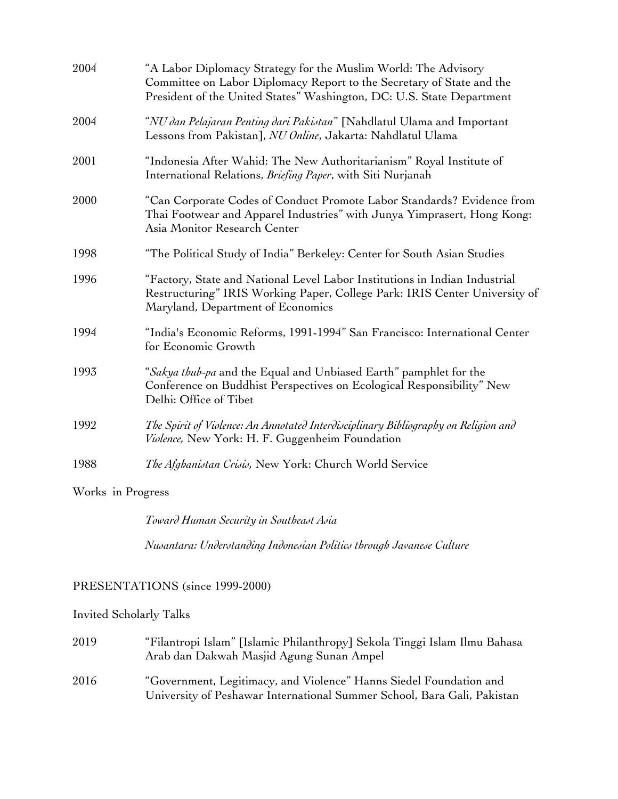| 2004 | "A Labor Diplomacy Strategy for the Muslim World: The Advisory<br>Committee on Labor Diplomacy Report to the Secretary of State and the<br>President of the United States" Washington, DC: U.S. State Department |
|------|------------------------------------------------------------------------------------------------------------------------------------------------------------------------------------------------------------------|
| 2004 | "NU dan Pelajaran Penting dari Pakistan" [Nahdlatul Ulama and Important<br>Lessons from Pakistan], NU Online, Jakarta: Nahdlatul Ulama                                                                           |
| 2001 | "Indonesia After Wahid: The New Authoritarianism" Royal Institute of<br>International Relations, Briefing Paper, with Siti Nurjanah                                                                              |
| 2000 | "Can Corporate Codes of Conduct Promote Labor Standards? Evidence from<br>Thai Footwear and Apparel Industries" with Junya Yimprasert, Hong Kong:<br>Asia Monitor Research Center                                |
| 1998 | "The Political Study of India" Berkeley: Center for South Asian Studies                                                                                                                                          |
| 1996 | "Factory, State and National Level Labor Institutions in Indian Industrial<br>Restructuring" IRIS Working Paper, College Park: IRIS Center University of<br>Maryland, Department of Economics                    |
| 1994 | "India's Economic Reforms, 1991-1994" San Francisco: International Center<br>for Economic Growth                                                                                                                 |
| 1993 | "Sakya thub-pa and the Equal and Unbiased Earth" pamphlet for the<br>Conference on Buddhist Perspectives on Ecological Responsibility" New<br>Delhi: Office of Tibet                                             |
| 1992 | The Spirit of Violence: An Annotated Interdisciplinary Bibliography on Religion and<br>Violence, New York: H. F. Guggenheim Foundation                                                                           |
| 1988 | The Afghanistan Crisis, New York: Church World Service                                                                                                                                                           |
|      |                                                                                                                                                                                                                  |

Works in Progress

*Toward Human Security in Southeast Asia*

*Nusantara: Understanding Indonesian Politics through Javanese Culture*

# PRESENTATIONS (since 1999-2000)

Invited Scholarly Talks

| 2019 | "Filantropi Islam" [Islamic Philanthropy] Sekola Tinggi Islam Ilmu Bahasa<br>Arab dan Dakwah Masjid Agung Sunan Ampel                         |
|------|-----------------------------------------------------------------------------------------------------------------------------------------------|
| 2016 | "Government, Legitimacy, and Violence" Hanns Siedel Foundation and<br>University of Peshawar International Summer School, Bara Gali, Pakistan |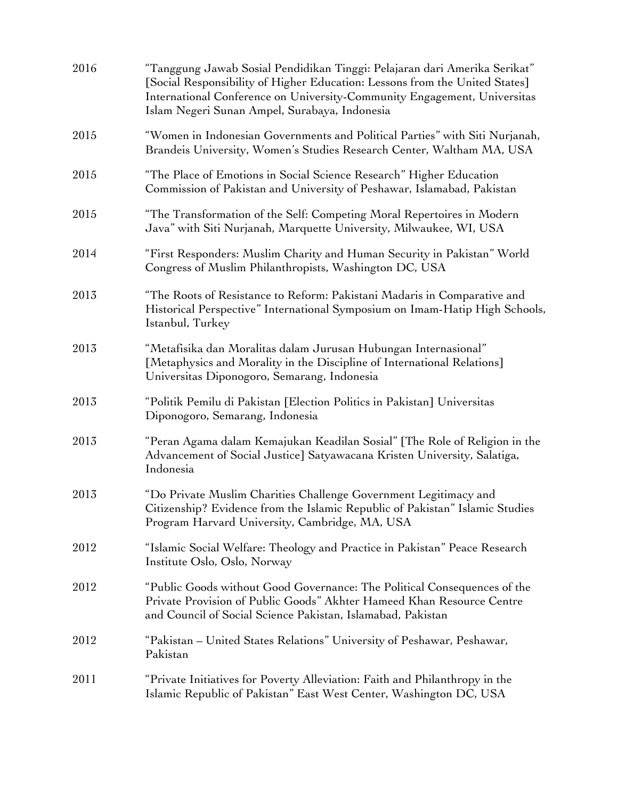| 2016 | "Tanggung Jawab Sosial Pendidikan Tinggi: Pelajaran dari Amerika Serikat"<br>[Social Responsibility of Higher Education: Lessons from the United States]<br>International Conference on University-Community Engagement, Universitas<br>Islam Negeri Sunan Ampel, Surabaya, Indonesia |
|------|---------------------------------------------------------------------------------------------------------------------------------------------------------------------------------------------------------------------------------------------------------------------------------------|
| 2015 | "Women in Indonesian Governments and Political Parties" with Siti Nurjanah,<br>Brandeis University, Women's Studies Research Center, Waltham MA, USA                                                                                                                                  |
| 2015 | "The Place of Emotions in Social Science Research" Higher Education<br>Commission of Pakistan and University of Peshawar, Islamabad, Pakistan                                                                                                                                         |
| 2015 | "The Transformation of the Self: Competing Moral Repertoires in Modern<br>Java" with Siti Nurjanah, Marquette University, Milwaukee, WI, USA                                                                                                                                          |
| 2014 | "First Responders: Muslim Charity and Human Security in Pakistan" World<br>Congress of Muslim Philanthropists, Washington DC, USA                                                                                                                                                     |
| 2013 | "The Roots of Resistance to Reform: Pakistani Madaris in Comparative and<br>Historical Perspective" International Symposium on Imam-Hatip High Schools,<br>Istanbul, Turkey                                                                                                           |
| 2013 | "Metafisika dan Moralitas dalam Jurusan Hubungan Internasional"<br>[Metaphysics and Morality in the Discipline of International Relations]<br>Universitas Diponogoro, Semarang, Indonesia                                                                                             |
| 2013 | "Politik Pemilu di Pakistan [Election Politics in Pakistan] Universitas<br>Diponogoro, Semarang, Indonesia                                                                                                                                                                            |
| 2013 | "Peran Agama dalam Kemajukan Keadilan Sosial" [The Role of Religion in the<br>Advancement of Social Justice] Satyawacana Kristen University, Salatiga,<br>Indonesia                                                                                                                   |
| 2013 | "Do Private Muslim Charities Challenge Government Legitimacy and<br>Citizenship? Evidence from the Islamic Republic of Pakistan" Islamic Studies<br>Program Harvard University, Cambridge, MA, USA                                                                                    |
| 2012 | "Islamic Social Welfare: Theology and Practice in Pakistan" Peace Research<br>Institute Oslo, Oslo, Norway                                                                                                                                                                            |
| 2012 | "Public Goods without Good Governance: The Political Consequences of the<br>Private Provision of Public Goods" Akhter Hameed Khan Resource Centre<br>and Council of Social Science Pakistan, Islamabad, Pakistan                                                                      |
| 2012 | "Pakistan – United States Relations" University of Peshawar, Peshawar,<br>Pakistan                                                                                                                                                                                                    |
| 2011 | "Private Initiatives for Poverty Alleviation: Faith and Philanthropy in the<br>Islamic Republic of Pakistan" East West Center, Washington DC, USA                                                                                                                                     |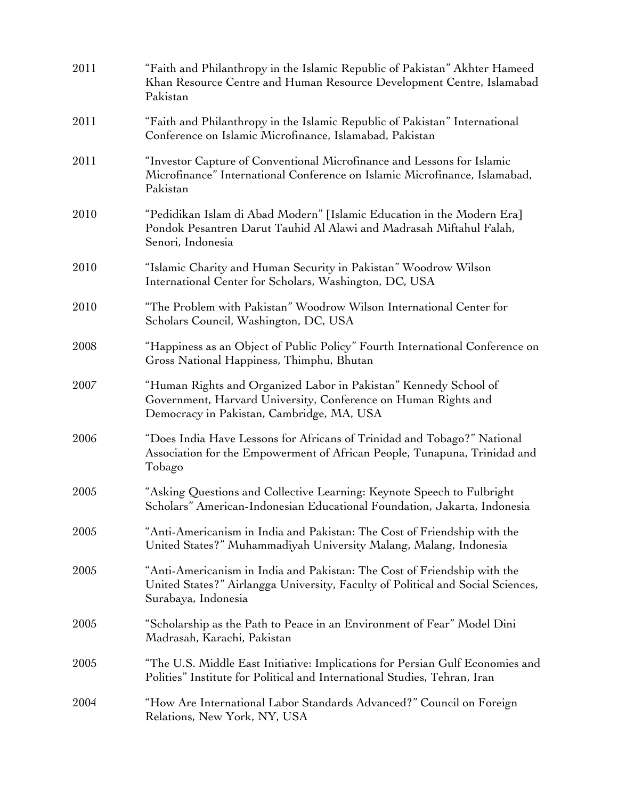| 2011 | "Faith and Philanthropy in the Islamic Republic of Pakistan" Akhter Hameed<br>Khan Resource Centre and Human Resource Development Centre, Islamabad<br>Pakistan                    |
|------|------------------------------------------------------------------------------------------------------------------------------------------------------------------------------------|
| 2011 | "Faith and Philanthropy in the Islamic Republic of Pakistan" International<br>Conference on Islamic Microfinance, Islamabad, Pakistan                                              |
| 2011 | "Investor Capture of Conventional Microfinance and Lessons for Islamic<br>Microfinance" International Conference on Islamic Microfinance, Islamabad,<br>Pakistan                   |
| 2010 | "Pedidikan Islam di Abad Modern" [Islamic Education in the Modern Era]<br>Pondok Pesantren Darut Tauhid Al Alawi and Madrasah Miftahul Falah,<br>Senori, Indonesia                 |
| 2010 | "Islamic Charity and Human Security in Pakistan" Woodrow Wilson<br>International Center for Scholars, Washington, DC, USA                                                          |
| 2010 | "The Problem with Pakistan" Woodrow Wilson International Center for<br>Scholars Council, Washington, DC, USA                                                                       |
| 2008 | "Happiness as an Object of Public Policy" Fourth International Conference on<br>Gross National Happiness, Thimphu, Bhutan                                                          |
| 2007 | "Human Rights and Organized Labor in Pakistan" Kennedy School of<br>Government, Harvard University, Conference on Human Rights and<br>Democracy in Pakistan, Cambridge, MA, USA    |
| 2006 | "Does India Have Lessons for Africans of Trinidad and Tobago?" National<br>Association for the Empowerment of African People, Tunapuna, Trinidad and<br>Tobago                     |
| 2005 | "Asking Questions and Collective Learning: Keynote Speech to Fulbright<br>Scholars" American-Indonesian Educational Foundation, Jakarta, Indonesia                                 |
| 2005 | "Anti-Americanism in India and Pakistan: The Cost of Friendship with the<br>United States?" Muhammadiyah University Malang, Malang, Indonesia                                      |
| 2005 | "Anti-Americanism in India and Pakistan: The Cost of Friendship with the<br>United States?" Airlangga University, Faculty of Political and Social Sciences,<br>Surabaya, Indonesia |
| 2005 | "Scholarship as the Path to Peace in an Environment of Fear" Model Dini<br>Madrasah, Karachi, Pakistan                                                                             |
| 2005 | "The U.S. Middle East Initiative: Implications for Persian Gulf Economies and<br>Polities" Institute for Political and International Studies, Tehran, Iran                         |
| 2004 | "How Are International Labor Standards Advanced?" Council on Foreign<br>Relations, New York, NY, USA                                                                               |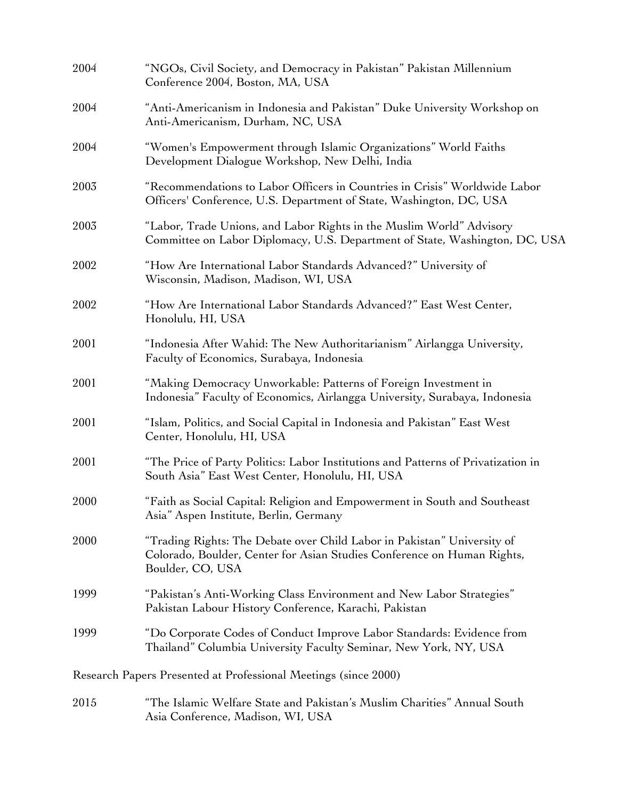| 2004 | "NGOs, Civil Society, and Democracy in Pakistan" Pakistan Millennium<br>Conference 2004, Boston, MA, USA                                                               |
|------|------------------------------------------------------------------------------------------------------------------------------------------------------------------------|
| 2004 | "Anti-Americanism in Indonesia and Pakistan" Duke University Workshop on<br>Anti-Americanism, Durham, NC, USA                                                          |
| 2004 | "Women's Empowerment through Islamic Organizations" World Faiths<br>Development Dialogue Workshop, New Delhi, India                                                    |
| 2003 | "Recommendations to Labor Officers in Countries in Crisis" Worldwide Labor<br>Officers' Conference, U.S. Department of State, Washington, DC, USA                      |
| 2003 | "Labor, Trade Unions, and Labor Rights in the Muslim World" Advisory<br>Committee on Labor Diplomacy, U.S. Department of State, Washington, DC, USA                    |
| 2002 | "How Are International Labor Standards Advanced?" University of<br>Wisconsin, Madison, Madison, WI, USA                                                                |
| 2002 | "How Are International Labor Standards Advanced?" East West Center,<br>Honolulu, HI, USA                                                                               |
| 2001 | "Indonesia After Wahid: The New Authoritarianism" Airlangga University,<br>Faculty of Economics, Surabaya, Indonesia                                                   |
| 2001 | "Making Democracy Unworkable: Patterns of Foreign Investment in<br>Indonesia" Faculty of Economics, Airlangga University, Surabaya, Indonesia                          |
| 2001 | "Islam, Politics, and Social Capital in Indonesia and Pakistan" East West<br>Center, Honolulu, HI, USA                                                                 |
| 2001 | "The Price of Party Politics: Labor Institutions and Patterns of Privatization in<br>South Asia" East West Center, Honolulu, HI, USA                                   |
| 2000 | "Faith as Social Capital: Religion and Empowerment in South and Southeast<br>Asia" Aspen Institute, Berlin, Germany                                                    |
| 2000 | "Trading Rights: The Debate over Child Labor in Pakistan" University of<br>Colorado, Boulder, Center for Asian Studies Conference on Human Rights,<br>Boulder, CO, USA |
| 1999 | "Pakistan's Anti-Working Class Environment and New Labor Strategies"<br>Pakistan Labour History Conference, Karachi, Pakistan                                          |
| 1999 | "Do Corporate Codes of Conduct Improve Labor Standards: Evidence from<br>Thailand" Columbia University Faculty Seminar, New York, NY, USA                              |
|      | Research Papers Presented at Professional Meetings (since 2000)                                                                                                        |
| 2015 | "The Islamic Welfare State and Pakistan's Muslim Charities" Annual South<br>Asia Conference, Madison, WI, USA                                                          |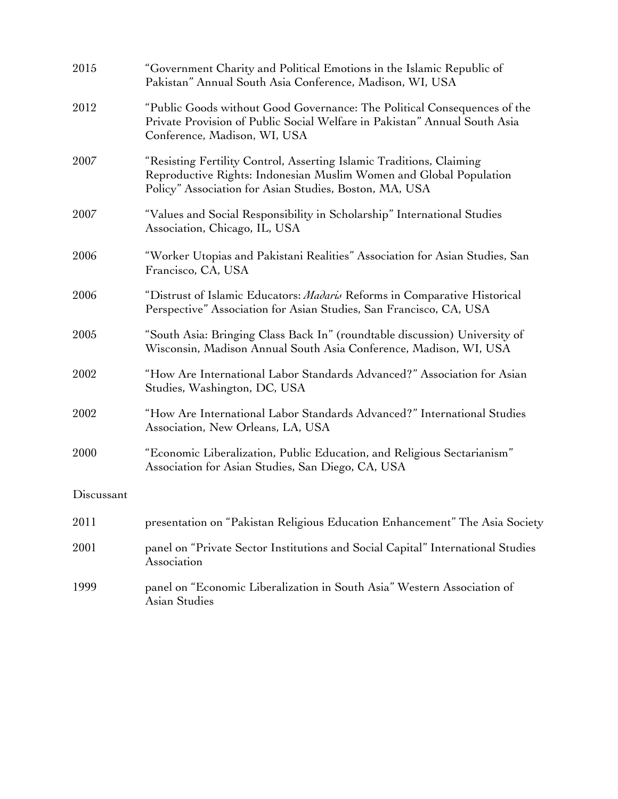| 2015       | "Government Charity and Political Emotions in the Islamic Republic of<br>Pakistan" Annual South Asia Conference, Madison, WI, USA                                                                    |
|------------|------------------------------------------------------------------------------------------------------------------------------------------------------------------------------------------------------|
| 2012       | "Public Goods without Good Governance: The Political Consequences of the<br>Private Provision of Public Social Welfare in Pakistan" Annual South Asia<br>Conference, Madison, WI, USA                |
| 2007       | "Resisting Fertility Control, Asserting Islamic Traditions, Claiming<br>Reproductive Rights: Indonesian Muslim Women and Global Population<br>Policy" Association for Asian Studies, Boston, MA, USA |
| 2007       | "Values and Social Responsibility in Scholarship" International Studies<br>Association, Chicago, IL, USA                                                                                             |
| 2006       | "Worker Utopias and Pakistani Realities" Association for Asian Studies, San<br>Francisco, CA, USA                                                                                                    |
| 2006       | "Distrust of Islamic Educators: Madaris Reforms in Comparative Historical<br>Perspective" Association for Asian Studies, San Francisco, CA, USA                                                      |
| 2005       | "South Asia: Bringing Class Back In" (roundtable discussion) University of<br>Wisconsin, Madison Annual South Asia Conference, Madison, WI, USA                                                      |
| 2002       | "How Are International Labor Standards Advanced?" Association for Asian<br>Studies, Washington, DC, USA                                                                                              |
| 2002       | "How Are International Labor Standards Advanced?" International Studies<br>Association, New Orleans, LA, USA                                                                                         |
| 2000       | "Economic Liberalization, Public Education, and Religious Sectarianism"<br>Association for Asian Studies, San Diego, CA, USA                                                                         |
| Discussant |                                                                                                                                                                                                      |
| 2011       | presentation on "Pakistan Religious Education Enhancement" The Asia Society                                                                                                                          |
| 2001       | panel on "Private Sector Institutions and Social Capital" International Studies<br>Association                                                                                                       |
| 1999       | panel on "Economic Liberalization in South Asia" Western Association of<br>Asian Studies                                                                                                             |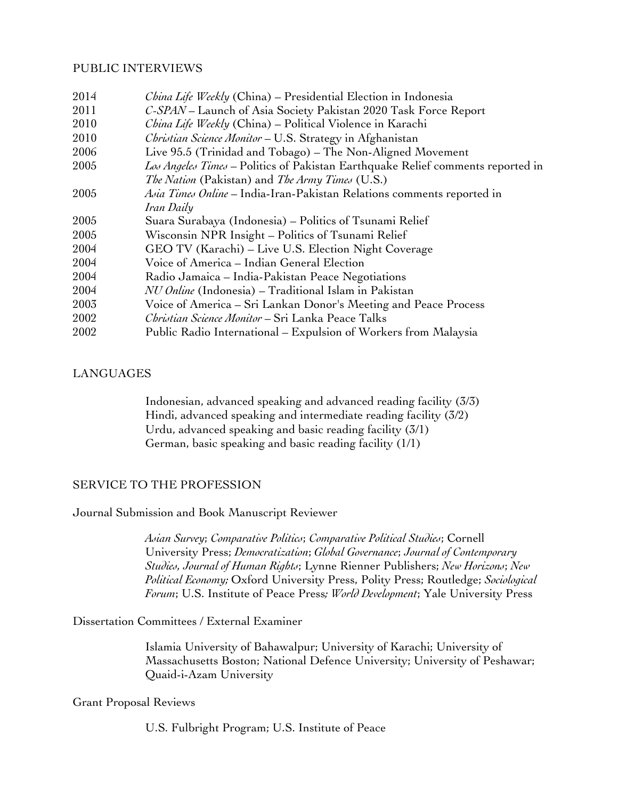#### PUBLIC INTERVIEWS

| 2014 | China Life Weekly (China) – Presidential Election in Indonesia                  |
|------|---------------------------------------------------------------------------------|
| 2011 | C-SPAN - Launch of Asia Society Pakistan 2020 Task Force Report                 |
| 2010 | China Life Weekly (China) - Political Violence in Karachi                       |
| 2010 | Christian Science Monitor - U.S. Strategy in Afghanistan                        |
| 2006 | Live 95.5 (Trinidad and Tobago) - The Non-Aligned Movement                      |
| 2005 | Los Angeles Times – Politics of Pakistan Earthquake Relief comments reported in |
|      | <i>The Nation</i> (Pakistan) and <i>The Army Times</i> (U.S.)                   |
| 2005 | Asia Times Online - India-Iran-Pakistan Relations comments reported in          |
|      | Iran Daily                                                                      |
| 2005 | Suara Surabaya (Indonesia) – Politics of Tsunami Relief                         |
| 2005 | Wisconsin NPR Insight - Politics of Tsunami Relief                              |
| 2004 | GEO TV (Karachi) – Live U.S. Election Night Coverage                            |
| 2004 | Voice of America - Indian General Election                                      |
| 2004 | Radio Jamaica – India-Pakistan Peace Negotiations                               |
| 2004 | NU Online (Indonesia) - Traditional Islam in Pakistan                           |
| 2003 | Voice of America – Sri Lankan Donor's Meeting and Peace Process                 |
| 2002 | <i>Christian Science Monitor</i> – Sri Lanka Peace Talks                        |
| 2002 | Public Radio International – Expulsion of Workers from Malaysia                 |

### LANGUAGES

Indonesian, advanced speaking and advanced reading facility (3/3) Hindi, advanced speaking and intermediate reading facility (3/2) Urdu, advanced speaking and basic reading facility (3/1) German, basic speaking and basic reading facility (1/1)

# SERVICE TO THE PROFESSION

Journal Submission and Book Manuscript Reviewer

*Asian Survey*; *Comparative Politics*; *Comparative Political Studies*; Cornell University Press; *Democratization*; *Global Governance*; *Journal of Contemporary Studies, Journal of Human Rights*; Lynne Rienner Publishers; *New Horizons*; *New Political Economy;* Oxford University Press, Polity Press; Routledge; *Sociological Forum*; U.S. Institute of Peace Press*; World Development*; Yale University Press

#### Dissertation Committees / External Examiner

Islamia University of Bahawalpur; University of Karachi; University of Massachusetts Boston; National Defence University; University of Peshawar; Quaid-i-Azam University

#### Grant Proposal Reviews

U.S. Fulbright Program; U.S. Institute of Peace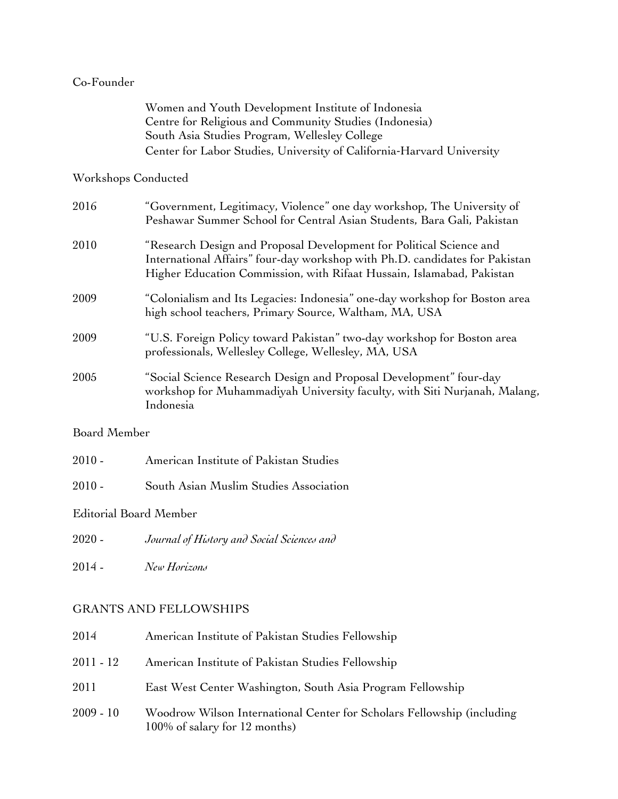## Co-Founder

| Women and Youth Development Institute of Indonesia                    |
|-----------------------------------------------------------------------|
| Centre for Religious and Community Studies (Indonesia)                |
| South Asia Studies Program, Wellesley College                         |
| Center for Labor Studies, University of California-Harvard University |

## Workshops Conducted

| 2016 | "Government, Legitimacy, Violence" one day workshop, The University of<br>Peshawar Summer School for Central Asian Students, Bara Gali, Pakistan                                                                            |
|------|-----------------------------------------------------------------------------------------------------------------------------------------------------------------------------------------------------------------------------|
| 2010 | "Research Design and Proposal Development for Political Science and<br>International Affairs" four-day workshop with Ph.D. candidates for Pakistan<br>Higher Education Commission, with Rifaat Hussain, Islamabad, Pakistan |
| 2009 | "Colonialism and Its Legacies: Indonesia" one-day workshop for Boston area<br>high school teachers, Primary Source, Waltham, MA, USA                                                                                        |
| 2009 | "U.S. Foreign Policy toward Pakistan" two-day workshop for Boston area<br>professionals, Wellesley College, Wellesley, MA, USA                                                                                              |
| 2005 | "Social Science Research Design and Proposal Development" four-day<br>workshop for Muhammadiyah University faculty, with Siti Nurjanah, Malang,<br>Indonesia                                                                |

# Board Member

| $2010$ - |  | American Institute of Pakistan Studies |  |
|----------|--|----------------------------------------|--|
|          |  |                                        |  |

2010 - South Asian Muslim Studies Association

Editorial Board Member

2020 - *Journal of History and Social Sciences and* 

2014 - *New Horizons*

# GRANTS AND FELLOWSHIPS

| 2014        | American Institute of Pakistan Studies Fellowship                                                       |
|-------------|---------------------------------------------------------------------------------------------------------|
| 2011 - 12   | American Institute of Pakistan Studies Fellowship                                                       |
| 2011        | East West Center Washington, South Asia Program Fellowship                                              |
| $2009 - 10$ | Woodrow Wilson International Center for Scholars Fellowship (including<br>100% of salary for 12 months) |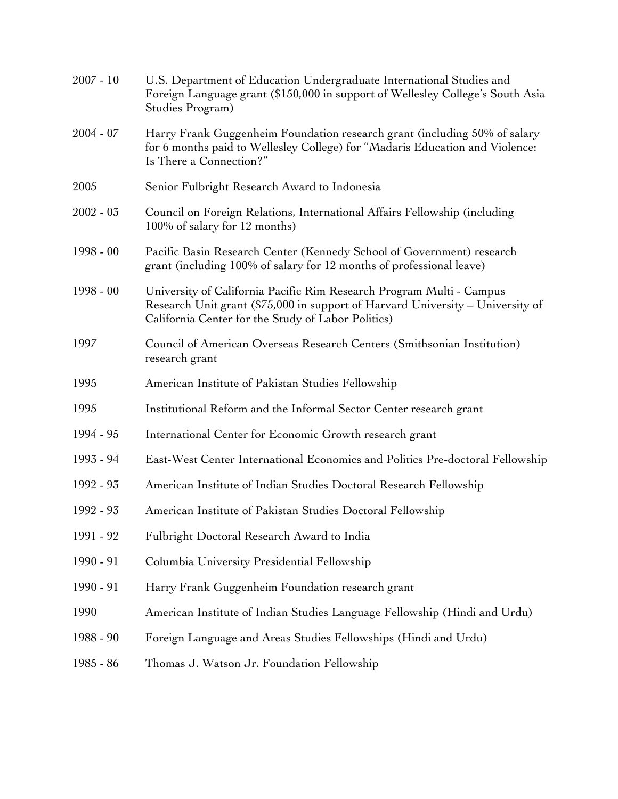| $2007 - 10$ | U.S. Department of Education Undergraduate International Studies and<br>Foreign Language grant (\$150,000 in support of Wellesley College's South Asia<br>Studies Program)                                   |
|-------------|--------------------------------------------------------------------------------------------------------------------------------------------------------------------------------------------------------------|
| $2004 - 07$ | Harry Frank Guggenheim Foundation research grant (including 50% of salary<br>for 6 months paid to Wellesley College) for "Madaris Education and Violence:<br>Is There a Connection?"                         |
| 2005        | Senior Fulbright Research Award to Indonesia                                                                                                                                                                 |
| $2002 - 03$ | Council on Foreign Relations, International Affairs Fellowship (including<br>100% of salary for 12 months)                                                                                                   |
| $1998 - 00$ | Pacific Basin Research Center (Kennedy School of Government) research<br>grant (including 100% of salary for 12 months of professional leave)                                                                |
| $1998 - 00$ | University of California Pacific Rim Research Program Multi - Campus<br>Research Unit grant (\$75,000 in support of Harvard University - University of<br>California Center for the Study of Labor Politics) |
| 1997        | Council of American Overseas Research Centers (Smithsonian Institution)<br>research grant                                                                                                                    |
| 1995        | American Institute of Pakistan Studies Fellowship                                                                                                                                                            |
| 1995        | Institutional Reform and the Informal Sector Center research grant                                                                                                                                           |
| 1994 - 95   | International Center for Economic Growth research grant                                                                                                                                                      |
| 1993 - 94   | East-West Center International Economics and Politics Pre-doctoral Fellowship                                                                                                                                |
| 1992 - 93   | American Institute of Indian Studies Doctoral Research Fellowship                                                                                                                                            |
| 1992 - 93   | American Institute of Pakistan Studies Doctoral Fellowship                                                                                                                                                   |
| 1991 - 92   | Fulbright Doctoral Research Award to India                                                                                                                                                                   |
| 1990 - 91   | Columbia University Presidential Fellowship                                                                                                                                                                  |
| 1990 - 91   | Harry Frank Guggenheim Foundation research grant                                                                                                                                                             |
| 1990        | American Institute of Indian Studies Language Fellowship (Hindi and Urdu)                                                                                                                                    |
| 1988 - 90   | Foreign Language and Areas Studies Fellowships (Hindi and Urdu)                                                                                                                                              |
| 1985 - 86   | Thomas J. Watson Jr. Foundation Fellowship                                                                                                                                                                   |